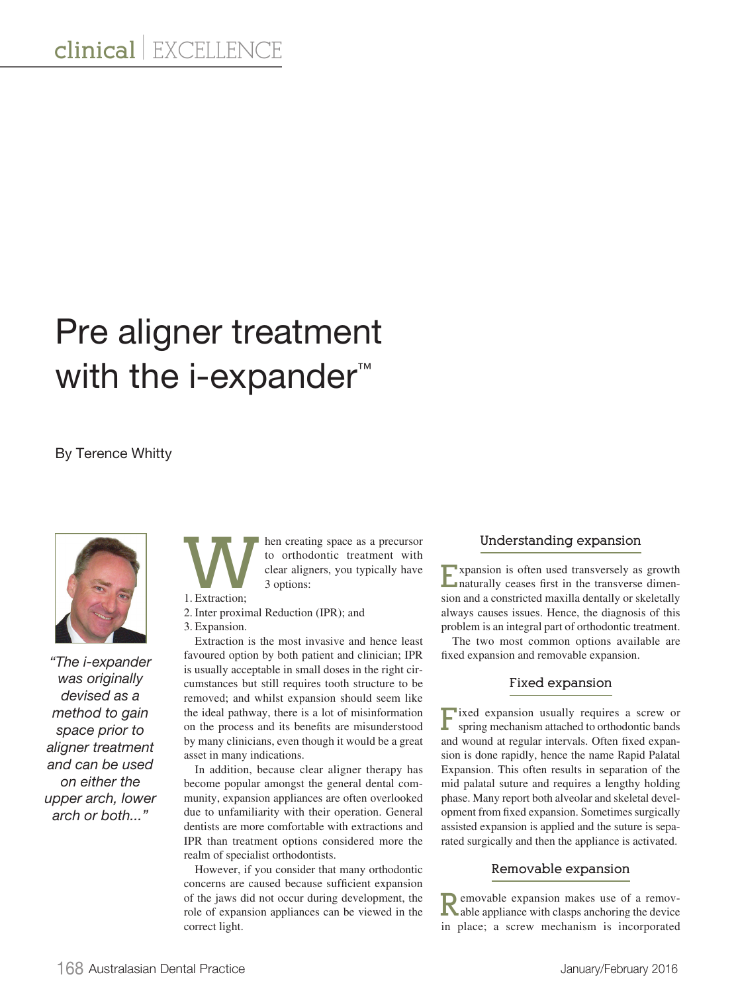# Pre aligner treatment with the i-expander<sup>™</sup>

## By Terence Whitty



*"The i-expander was originally devised as a method to gain space prior to aligner treatment and can be used on either the upper arch, lower arch or both..."*

hen creating space as a precursor to orthodontic treatment with clear aligners, you typically have 3 options:

1. Extraction;

2. Inter proximal Reduction (IPR); and

3. Expansion.

Extraction is the most invasive and hence least favoured option by both patient and clinician; IPR is usually acceptable in small doses in the right circumstances but still requires tooth structure to be removed; and whilst expansion should seem like the ideal pathway, there is a lot of misinformation on the process and its benefits are misunderstood by many clinicians, even though it would be a great asset in many indications.

In addition, because clear aligner therapy has become popular amongst the general dental community, expansion appliances are often overlooked due to unfamiliarity with their operation. General dentists are more comfortable with extractions and IPR than treatment options considered more the realm of specialist orthodontists.

However, if you consider that many orthodontic concerns are caused because sufficient expansion of the jaws did not occur during development, the role of expansion appliances can be viewed in the correct light.

### **Understanding expansion**

**Expansion is often used transversely as growth** naturally ceases first in the transverse dimension and a constricted maxilla dentally or skeletally always causes issues. Hence, the diagnosis of this problem is an integral part of orthodontic treatment.

The two most common options available are fixed expansion and removable expansion.

### **Fixed expansion**

**F**ixed expansion usually requires a screw or spring mechanism attached to orthodontic bands and wound at regular intervals. Often fixed expansion is done rapidly, hence the name Rapid Palatal Expansion. This often results in separation of the mid palatal suture and requires a lengthy holding phase. Many report both alveolar and skeletal development from fixed expansion. Sometimes surgically assisted expansion is applied and the suture is separated surgically and then the appliance is activated.

### **Removable expansion**

**R**emovable expansion makes use of a remov-<br>able appliance with clasps anchoring the device in place; a screw mechanism is incorporated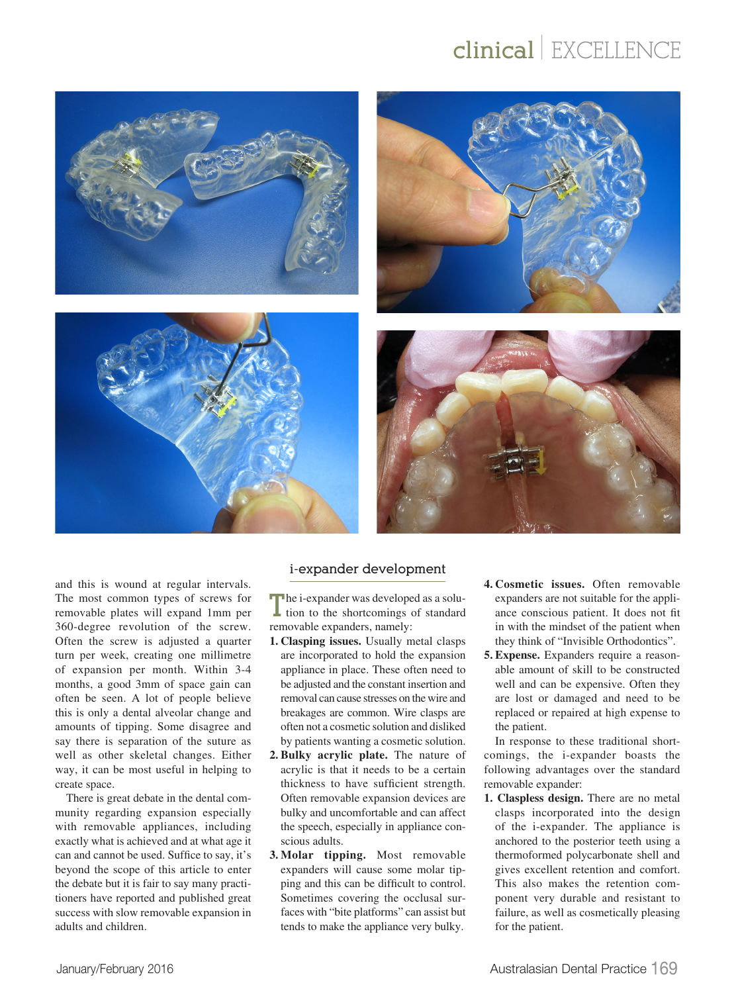# **clinical** | EXCELLENCE



and this is wound at regular intervals. The most common types of screws for removable plates will expand 1mm per 360-degree revolution of the screw. Often the screw is adjusted a quarter turn per week, creating one millimetre of expansion per month. Within 3-4 months, a good 3mm of space gain can often be seen. A lot of people believe this is only a dental alveolar change and amounts of tipping. Some disagree and say there is separation of the suture as well as other skeletal changes. Either way, it can be most useful in helping to create space.

There is great debate in the dental community regarding expansion especially with removable appliances, including exactly what is achieved and at what age it can and cannot be used. Suffice to say, it's beyond the scope of this article to enter the debate but it is fair to say many practitioners have reported and published great success with slow removable expansion in adults and children.

### **i-expander development**

The i-expander was developed as a solution to the shortcomings of standard removable expanders, namely:

- **1. Clasping issues.** Usually metal clasps are incorporated to hold the expansion appliance in place. These often need to be adjusted and the constant insertion and removal can cause stresses on the wire and breakages are common. Wire clasps are often not a cosmetic solution and disliked by patients wanting a cosmetic solution.
- **2. Bulky acrylic plate.** The nature of acrylic is that it needs to be a certain thickness to have sufficient strength. Often removable expansion devices are bulky and uncomfortable and can affect the speech, especially in appliance conscious adults.
- **3. Molar tipping.** Most removable expanders will cause some molar tipping and this can be difficult to control. Sometimes covering the occlusal surfaces with "bite platforms" can assist but tends to make the appliance very bulky.
- **4. Cosmetic issues.** Often removable expanders are not suitable for the appliance conscious patient. It does not fit in with the mindset of the patient when they think of "Invisible Orthodontics".
- **5. Expense.** Expanders require a reasonable amount of skill to be constructed well and can be expensive. Often they are lost or damaged and need to be replaced or repaired at high expense to the patient.

In response to these traditional shortcomings, the i-expander boasts the following advantages over the standard removable expander:

**1. Claspless design.** There are no metal clasps incorporated into the design of the i-expander. The appliance is anchored to the posterior teeth using a thermoformed polycarbonate shell and gives excellent retention and comfort. This also makes the retention component very durable and resistant to failure, as well as cosmetically pleasing for the patient.